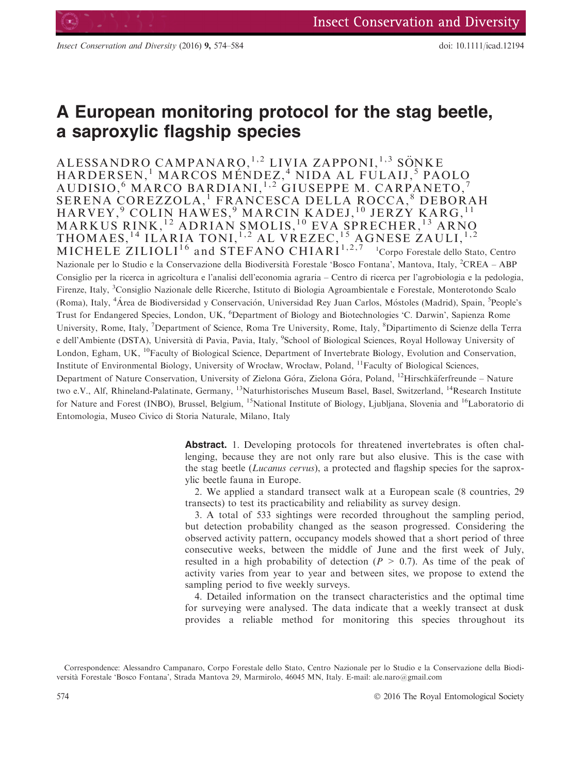# A European monitoring protocol for the stag beetle, a saproxylic flagship species

ALESSANDRO CAMPANARO, <sup>1,2</sup> LIVIA ZAPPONI, <sup>1,3</sup> SÖNKE HARDERSEN, <sup>1</sup> MARCOS MÉNDEZ, <sup>4</sup> NIDA AL FULAIJ, <sup>5</sup> PAOLO AUDISIO, <sup>6</sup> MARCO BARDIANI, 1,2 GIUSEPPE M. CARPANETO, <sup>7</sup> SERENA COREZZOLA,<sup>1</sup> FRANCESCA DELLA ROCCA,<sup>8</sup> DEBORAH HARVEY,<sup>9</sup> COLIN HAWES,<sup>9</sup> MARCIN KADEJ,<sup>10</sup> JERZY KARG,<sup>11</sup> MARKUS RINK,<sup>12</sup> ADRIAN SMOLIS,<sup>10</sup> EVA SPRECHER,<sup>13</sup> ARNO THOMAES,<sup>14</sup> ILARIA TONI,<sup>1,2</sup> AL VREZEC,<sup>15</sup> AGNESE ZAULI,<sup>1,2</sup> MICHELE ZILIOLI<sup>16</sup> and STEFANO CHIARI<sup>1,2,7</sup> Corpo Forestale dello Stato, Centro Nazionale per lo Studio e la Conservazione della Biodiversità Forestale 'Bosco Fontana', Mantova, Italy, <sup>2</sup>CREA – ABP Consiglio per la ricerca in agricoltura e l'analisi dell'economia agraria – Centro di ricerca per l'agrobiologia e la pedologia, Firenze, Italy, <sup>3</sup>Consiglio Nazionale delle Ricerche, Istituto di Biologia Agroambientale e Forestale, Monterotondo Scalo (Roma), Italy, <sup>4</sup>Área de Biodiversidad y Conservación, Universidad Rey Juan Carlos, Móstoles (Madrid), Spain, <sup>5</sup>People's Trust for Endangered Species, London, UK, <sup>6</sup>Department of Biology and Biotechnologies 'C. Darwin', Sapienza Rome University, Rome, Italy, <sup>7</sup>Department of Science, Roma Tre University, Rome, Italy, <sup>8</sup>Dipartimento di Scienze della Terra e dell'Ambiente (DSTA), Università di Pavia, Pavia, Italy, <sup>9</sup>School of Biological Sciences, Royal Holloway University of London, Egham, UK, <sup>10</sup>Faculty of Biological Science, Department of Invertebrate Biology, Evolution and Conservation, Institute of Environmental Biology, University of Wrocław, Wrocław, Poland, 11Faculty of Biological Sciences, Department of Nature Conservation, University of Zielona Góra, Zielona Góra, Poland, <sup>12</sup>Hirschkäferfreunde - Nature two e.V., Alf, Rhineland-Palatinate, Germany, <sup>13</sup>Naturhistorisches Museum Basel, Basel, Switzerland, <sup>14</sup>Research Institute for Nature and Forest (INBO), Brussel, Belgium, <sup>15</sup>National Institute of Biology, Ljubljana, Slovenia and <sup>16</sup>Laboratorio di Entomologia, Museo Civico di Storia Naturale, Milano, Italy

> Abstract. 1. Developing protocols for threatened invertebrates is often challenging, because they are not only rare but also elusive. This is the case with the stag beetle (Lucanus cervus), a protected and flagship species for the saproxylic beetle fauna in Europe.

> 2. We applied a standard transect walk at a European scale (8 countries, 29 transects) to test its practicability and reliability as survey design.

> 3. A total of 533 sightings were recorded throughout the sampling period, but detection probability changed as the season progressed. Considering the observed activity pattern, occupancy models showed that a short period of three consecutive weeks, between the middle of June and the first week of July, resulted in a high probability of detection ( $P > 0.7$ ). As time of the peak of activity varies from year to year and between sites, we propose to extend the sampling period to five weekly surveys.

> 4. Detailed information on the transect characteristics and the optimal time for surveying were analysed. The data indicate that a weekly transect at dusk provides a reliable method for monitoring this species throughout its

Correspondence: Alessandro Campanaro, Corpo Forestale dello Stato, Centro Nazionale per lo Studio e la Conservazione della Biodiversita Forestale 'Bosco Fontana', Strada Mantova 29, Marmirolo, 46045 MN, Italy. E-mail: ale.naro@gmail.com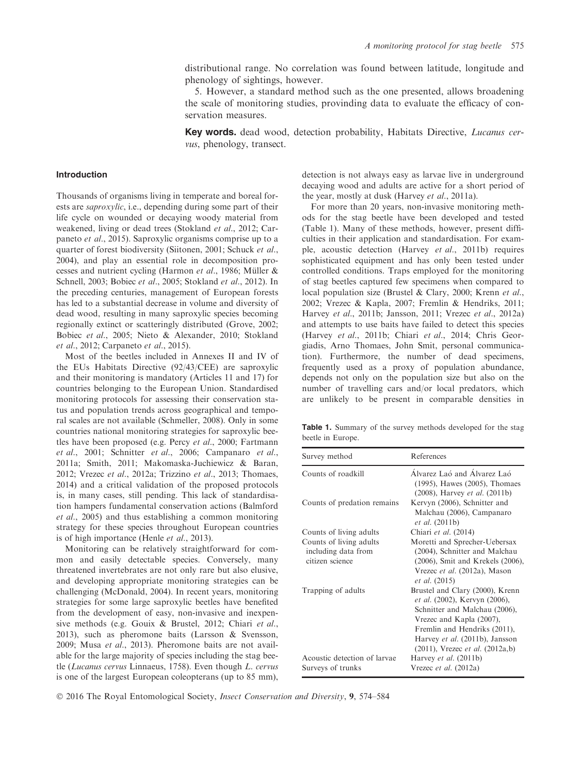distributional range. No correlation was found between latitude, longitude and phenology of sightings, however.

5. However, a standard method such as the one presented, allows broadening the scale of monitoring studies, provinding data to evaluate the efficacy of conservation measures.

Key words. dead wood, detection probability, Habitats Directive, Lucanus cervus, phenology, transect.

# Introduction

Thousands of organisms living in temperate and boreal forests are saproxylic, i.e., depending during some part of their life cycle on wounded or decaying woody material from weakened, living or dead trees (Stokland et al., 2012; Carpaneto et al., 2015). Saproxylic organisms comprise up to a quarter of forest biodiversity (Siitonen, 2001; Schuck et al., 2004), and play an essential role in decomposition processes and nutrient cycling (Harmon et al., 1986; Müller  $&$ Schnell, 2003; Bobiec et al., 2005; Stokland et al., 2012). In the preceding centuries, management of European forests has led to a substantial decrease in volume and diversity of dead wood, resulting in many saproxylic species becoming regionally extinct or scatteringly distributed (Grove, 2002; Bobiec et al., 2005; Nieto & Alexander, 2010; Stokland et al., 2012; Carpaneto et al., 2015).

Most of the beetles included in Annexes II and IV of the EUs Habitats Directive (92/43/CEE) are saproxylic and their monitoring is mandatory (Articles 11 and 17) for countries belonging to the European Union. Standardised monitoring protocols for assessing their conservation status and population trends across geographical and temporal scales are not available (Schmeller, 2008). Only in some countries national monitoring strategies for saproxylic beetles have been proposed (e.g. Percy et al., 2000; Fartmann et al., 2001; Schnitter et al., 2006; Campanaro et al., 2011a; Smith, 2011; Makomaska-Juchiewicz & Baran, 2012; Vrezec et al., 2012a; Trizzino et al., 2013; Thomaes, 2014) and a critical validation of the proposed protocols is, in many cases, still pending. This lack of standardisation hampers fundamental conservation actions (Balmford et al., 2005) and thus establishing a common monitoring strategy for these species throughout European countries is of high importance (Henle et al., 2013).

Monitoring can be relatively straightforward for common and easily detectable species. Conversely, many threatened invertebrates are not only rare but also elusive, and developing appropriate monitoring strategies can be challenging (McDonald, 2004). In recent years, monitoring strategies for some large saproxylic beetles have benefited from the development of easy, non-invasive and inexpensive methods (e.g. Gouix & Brustel, 2012; Chiari et al., 2013), such as pheromone baits (Larsson & Svensson, 2009; Musa et al., 2013). Pheromone baits are not available for the large majority of species including the stag beetle (Lucanus cervus Linnaeus, 1758). Even though L. cervus is one of the largest European coleopterans (up to 85 mm),

detection is not always easy as larvae live in underground decaying wood and adults are active for a short period of the year, mostly at dusk (Harvey et al., 2011a).

For more than 20 years, non-invasive monitoring methods for the stag beetle have been developed and tested (Table 1). Many of these methods, however, present difficulties in their application and standardisation. For example, acoustic detection (Harvey et al., 2011b) requires sophisticated equipment and has only been tested under controlled conditions. Traps employed for the monitoring of stag beetles captured few specimens when compared to local population size (Brustel & Clary, 2000; Krenn et al., 2002; Vrezec & Kapla, 2007; Fremlin & Hendriks, 2011; Harvey et al., 2011b; Jansson, 2011; Vrezec et al., 2012a) and attempts to use baits have failed to detect this species (Harvey et al., 2011b; Chiari et al., 2014; Chris Georgiadis, Arno Thomaes, John Smit, personal communication). Furthermore, the number of dead specimens, frequently used as a proxy of population abundance, depends not only on the population size but also on the number of travelling cars and/or local predators, which are unlikely to be present in comparable densities in

Table 1. Summary of the survey methods developed for the stag beetle in Europe.

| Survey method                                                     | References                                                                                                                                                                                                                                            |
|-------------------------------------------------------------------|-------------------------------------------------------------------------------------------------------------------------------------------------------------------------------------------------------------------------------------------------------|
| Counts of roadkill                                                | Alvarez Laó and Álvarez Laó<br>(1995), Hawes (2005), Thomaes<br>$(2008)$ , Harvey <i>et al.</i> $(2011b)$                                                                                                                                             |
| Counts of predation remains                                       | Kervyn (2006), Schnitter and<br>Malchau (2006), Campanaro<br><i>et al.</i> (2011b)                                                                                                                                                                    |
| Counts of living adults                                           | Chiari et al. (2014)                                                                                                                                                                                                                                  |
| Counts of living adults<br>including data from<br>citizen science | Moretti and Sprecher-Uebersax<br>(2004), Schnitter and Malchau<br>(2006), Smit and Krekels (2006),<br>Vrezec et al. (2012a), Mason<br><i>et al.</i> (2015)                                                                                            |
| Trapping of adults                                                | Brustel and Clary (2000), Krenn<br><i>et al.</i> (2002), Kervyn (2006),<br>Schnitter and Malchau (2006),<br>Vrezec and Kapla (2007),<br>Fremlin and Hendriks (2011),<br>Harvey et al. (2011b), Jansson<br>$(2011)$ , Vrezec <i>et al.</i> $(2012a,b)$ |
| Acoustic detection of larvae<br>Surveys of trunks                 | Harvey et al. $(2011b)$<br>Vrezec <i>et al.</i> (2012a)                                                                                                                                                                                               |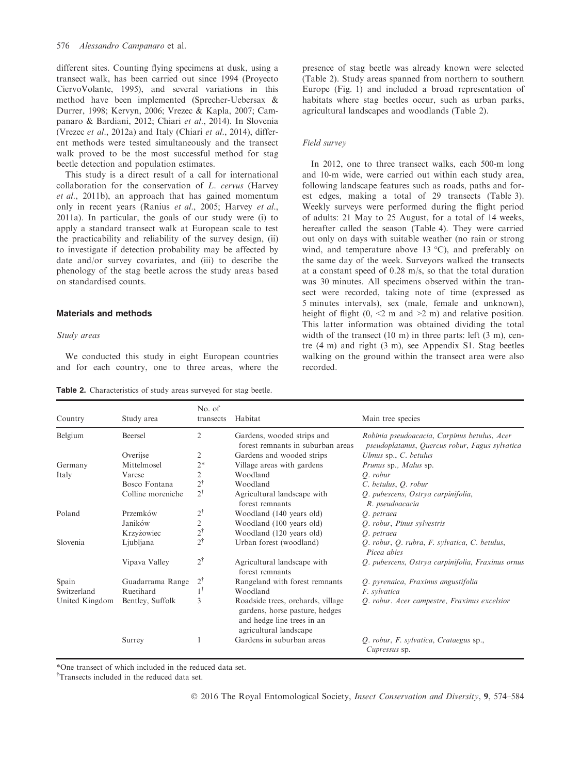different sites. Counting flying specimens at dusk, using a transect walk, has been carried out since 1994 (Proyecto CiervoVolante, 1995), and several variations in this method have been implemented (Sprecher-Uebersax & Durrer, 1998; Kervyn, 2006; Vrezec & Kapla, 2007; Campanaro & Bardiani, 2012; Chiari et al., 2014). In Slovenia (Vrezec et al., 2012a) and Italy (Chiari et al., 2014), different methods were tested simultaneously and the transect walk proved to be the most successful method for stag beetle detection and population estimates.

This study is a direct result of a call for international collaboration for the conservation of L. cervus (Harvey et al., 2011b), an approach that has gained momentum only in recent years (Ranius et al., 2005; Harvey et al., 2011a). In particular, the goals of our study were (i) to apply a standard transect walk at European scale to test the practicability and reliability of the survey design, (ii) to investigate if detection probability may be affected by date and/or survey covariates, and (iii) to describe the phenology of the stag beetle across the study areas based on standardised counts.

# Materials and methods

#### Study areas

We conducted this study in eight European countries and for each country, one to three areas, where the

Table 2. Characteristics of study areas surveyed for stag beetle.

presence of stag beetle was already known were selected (Table 2). Study areas spanned from northern to southern Europe (Fig. 1) and included a broad representation of habitats where stag beetles occur, such as urban parks, agricultural landscapes and woodlands (Table 2).

## Field survey

In 2012, one to three transect walks, each 500-m long and 10-m wide, were carried out within each study area, following landscape features such as roads, paths and forest edges, making a total of 29 transects (Table 3). Weekly surveys were performed during the flight period of adults: 21 May to 25 August, for a total of 14 weeks, hereafter called the season (Table 4). They were carried out only on days with suitable weather (no rain or strong wind, and temperature above 13 °C), and preferably on the same day of the week. Surveyors walked the transects at a constant speed of 0.28 m/s, so that the total duration was 30 minutes. All specimens observed within the transect were recorded, taking note of time (expressed as 5 minutes intervals), sex (male, female and unknown), height of flight  $(0, \le 2 \text{ m and } \ge 2 \text{ m})$  and relative position. This latter information was obtained dividing the total width of the transect (10 m) in three parts: left (3 m), centre (4 m) and right (3 m), see Appendix S1. Stag beetles walking on the ground within the transect area were also recorded.

| Country        | Study area        | No. of<br>transects | Habitat                                                                                                                     | Main tree species                                                                              |
|----------------|-------------------|---------------------|-----------------------------------------------------------------------------------------------------------------------------|------------------------------------------------------------------------------------------------|
| Belgium        | Beersel           | 2                   | Gardens, wooded strips and<br>forest remnants in suburban areas                                                             | Robinia pseudoacacia, Carpinus betulus, Acer<br>pseudoplatanus, Quercus robur, Fagus sylvatica |
|                | Overijse          | 2                   | Gardens and wooded strips                                                                                                   | Ulmus sp., C. betulus                                                                          |
| Germany        | Mittelmosel       | $2*$                | Village areas with gardens                                                                                                  | Prunus sp., Malus sp.                                                                          |
| Italy          | Varese            | 2                   | Woodland                                                                                                                    | $O.$ robur                                                                                     |
|                | Bosco Fontana     | $2^\dagger$         | Woodland                                                                                                                    | C. betulus, Q. robur                                                                           |
|                | Colline moreniche | $2^{\dagger}$       | Agricultural landscape with<br>forest remnants                                                                              | Q. pubescens, Ostrya carpinifolia,<br>R. pseudoacacia                                          |
| Poland         | Przemków          | $2^{\dagger}$       | Woodland (140 years old)                                                                                                    | O. petraea                                                                                     |
|                | Janików           | $\overline{c}$      | Woodland (100 years old)                                                                                                    | Q. robur, Pinus sylvestris                                                                     |
|                | Krzyżowiec        | $2^{\dagger}$       | Woodland (120 years old)                                                                                                    | Q. petraea                                                                                     |
| Slovenia       | Ljubljana         | $2^{\dagger}$       | Urban forest (woodland)                                                                                                     | Q. robur, Q. rubra, F. sylvatica, C. betulus,<br>Picea abies                                   |
|                | Vipava Valley     | $2^{\dagger}$       | Agricultural landscape with<br>forest remnants                                                                              | Q. pubescens, Ostrya carpinifolia, Fraxinus ornus                                              |
| Spain          | Guadarrama Range  | $2^{\dagger}$       | Rangeland with forest remnants                                                                                              | Q. pyrenaica, Fraxinus angustifolia                                                            |
| Switzerland    | Ruetihard         | $1^{\dagger}$       | Woodland                                                                                                                    | F. sylvatica                                                                                   |
| United Kingdom | Bentley, Suffolk  | 3                   | Roadside trees, orchards, village<br>gardens, horse pasture, hedges<br>and hedge line trees in an<br>agricultural landscape | Q. robur. Acer campestre, Fraxinus excelsior                                                   |
|                | Surrey            |                     | Gardens in suburban areas                                                                                                   | Q. robur, F. sylvatica, Crataegus sp.,<br><i>Cupressus</i> sp.                                 |

\*One transect of which included in the reduced data set.

† Transects included in the reduced data set.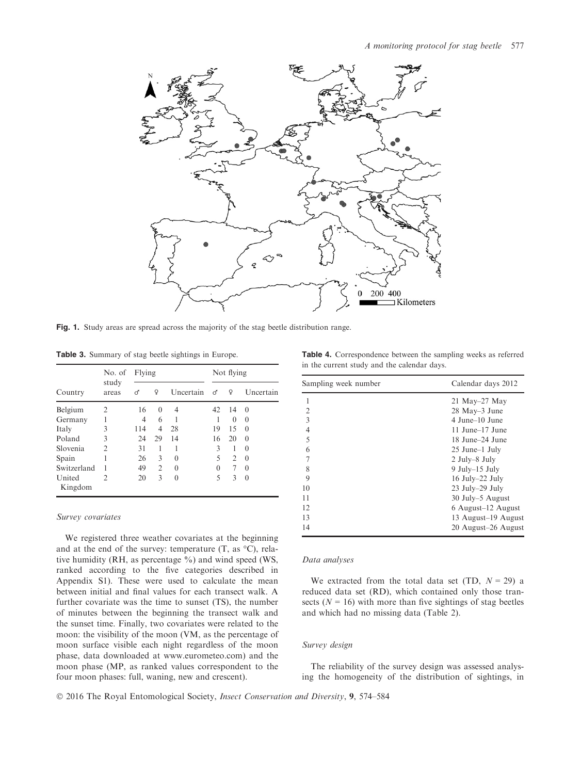

Fig. 1. Study areas are spread across the majority of the stag beetle distribution range.

Table 3. Summary of stag beetle sightings in Europe.

|                   | No. of<br>study<br>areas | Flying |                |           | Not flying |                |           |
|-------------------|--------------------------|--------|----------------|-----------|------------|----------------|-----------|
| Country           |                          | ♂      | Q              | Uncertain | $\sigma$   | $\Omega$       | Uncertain |
| Belgium           | $\overline{2}$           | 16     | $\theta$       | 4         | 42         | 14             | $\Omega$  |
| Germany           |                          | 4      | 6              |           |            | $\theta$       | $\Omega$  |
| Italy             | 3                        | 114    | 4              | 28        | 19         | 15             | $\Omega$  |
| Poland            | 3                        | 24     | 29             | 14        | 16         | 20             | $\Omega$  |
| Slovenia          | $\mathfrak{D}$           | 31     | 1              |           | 3          | 1              | $\Omega$  |
| Spain             |                          | 26     | 3              | 0         | 5          | $\overline{c}$ | $\Omega$  |
| Switzerland       |                          | 49     | $\mathfrak{D}$ | 0         | 0          | 7              | $\Omega$  |
| United<br>Kingdom | $\mathfrak{D}$           | 20     | 3              | 0         | 5          | 3              | $\Omega$  |

#### Survey covariates

We registered three weather covariates at the beginning and at the end of the survey: temperature  $(T, as °C)$ , relative humidity (RH, as percentage %) and wind speed (WS, ranked according to the five categories described in Appendix S1). These were used to calculate the mean between initial and final values for each transect walk. A further covariate was the time to sunset (TS), the number of minutes between the beginning the transect walk and the sunset time. Finally, two covariates were related to the moon: the visibility of the moon (VM, as the percentage of moon surface visible each night regardless of the moon phase, data downloaded at [www.eurometeo.com\)](http://www.eurometeo.com) and the moon phase (MP, as ranked values correspondent to the four moon phases: full, waning, new and crescent).

Table 4. Correspondence between the sampling weeks as referred in the current study and the calendar days.

| Sampling week number | Calendar days 2012  |
|----------------------|---------------------|
|                      | $21$ May– $27$ May  |
| 2                    | 28 May–3 June       |
| $\mathbf{3}$         | 4 June–10 June      |
| 4                    | 11 June–17 June     |
| 5                    | 18 June–24 June     |
| 6                    | 25 June–1 July      |
| 7                    | $2$ July–8 July     |
| 8                    | $9$ July-15 July    |
| 9                    | 16 July-22 July     |
| 10                   | 23 July-29 July     |
| 11                   | 30 July–5 August    |
| 12.                  | 6 August-12 August  |
| 13                   | 13 August-19 August |
| 14                   | 20 August-26 August |

### Data analyses

We extracted from the total data set (TD,  $N = 29$ ) a reduced data set (RD), which contained only those transects ( $N = 16$ ) with more than five sightings of stag beetles and which had no missing data (Table 2).

#### Survey design

The reliability of the survey design was assessed analysing the homogeneity of the distribution of sightings, in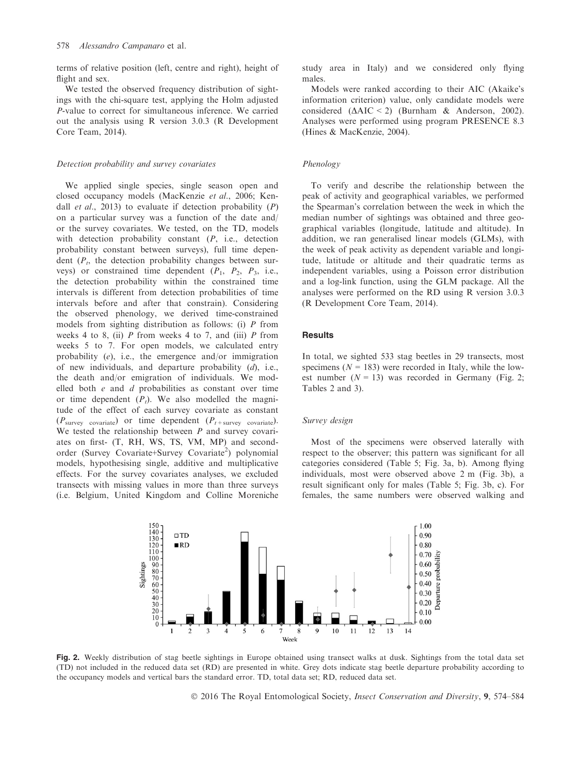terms of relative position (left, centre and right), height of flight and sex.

We tested the observed frequency distribution of sightings with the chi-square test, applying the Holm adjusted P-value to correct for simultaneous inference. We carried out the analysis using R version 3.0.3 (R Development Core Team, 2014).

#### Detection probability and survey covariates

We applied single species, single season open and closed occupancy models (MacKenzie et al., 2006; Kendall *et al.*, 2013) to evaluate if detection probability  $(P)$ on a particular survey was a function of the date and/ or the survey covariates. We tested, on the TD, models with detection probability constant  $(P, i.e.,$  detection probability constant between surveys), full time dependent  $(P_t)$ , the detection probability changes between surveys) or constrained time dependent  $(P_1, P_2, P_3, i.e.,$ the detection probability within the constrained time intervals is different from detection probabilities of time intervals before and after that constrain). Considering the observed phenology, we derived time-constrained models from sighting distribution as follows: (i) P from weeks 4 to 8, (ii)  $P$  from weeks 4 to 7, and (iii)  $P$  from weeks 5 to 7. For open models, we calculated entry probability (e), i.e., the emergence and/or immigration of new individuals, and departure probability (d), i.e., the death and/or emigration of individuals. We modelled both  $e$  and  $d$  probabilities as constant over time or time dependent  $(P_t)$ . We also modelled the magnitude of the effect of each survey covariate as constant  $(P_{\text{survey covariate}})$  or time dependent  $(P_{t+\text{survey covariate}})$ . We tested the relationship between  $P$  and survey covariates on first- (T, RH, WS, TS, VM, MP) and secondorder (Survey Covariate+Survey Covariate<sup>2</sup>) polynomial models, hypothesising single, additive and multiplicative effects. For the survey covariates analyses, we excluded transects with missing values in more than three surveys (i.e. Belgium, United Kingdom and Colline Moreniche

study area in Italy) and we considered only flying males.

Models were ranked according to their AIC (Akaike's information criterion) value, only candidate models were considered  $(\Delta AIC \le 2)$  (Burnham & Anderson, 2002). Analyses were performed using program PRESENCE 8.3 (Hines & MacKenzie, 2004).

#### Phenology

To verify and describe the relationship between the peak of activity and geographical variables, we performed the Spearman's correlation between the week in which the median number of sightings was obtained and three geographical variables (longitude, latitude and altitude). In addition, we ran generalised linear models (GLMs), with the week of peak activity as dependent variable and longitude, latitude or altitude and their quadratic terms as independent variables, using a Poisson error distribution and a log-link function, using the GLM package. All the analyses were performed on the RD using R version 3.0.3 (R Development Core Team, 2014).

## **Results**

In total, we sighted 533 stag beetles in 29 transects, most specimens ( $N = 183$ ) were recorded in Italy, while the lowest number  $(N = 13)$  was recorded in Germany (Fig. 2; Tables 2 and 3).

## Survey design

Most of the specimens were observed laterally with respect to the observer; this pattern was significant for all categories considered (Table 5; Fig. 3a, b). Among flying individuals, most were observed above 2 m (Fig. 3b), a result significant only for males (Table 5; Fig. 3b, c). For females, the same numbers were observed walking and



Fig. 2. Weekly distribution of stag beetle sightings in Europe obtained using transect walks at dusk. Sightings from the total data set (TD) not included in the reduced data set (RD) are presented in white. Grey dots indicate stag beetle departure probability according to the occupancy models and vertical bars the standard error. TD, total data set; RD, reduced data set.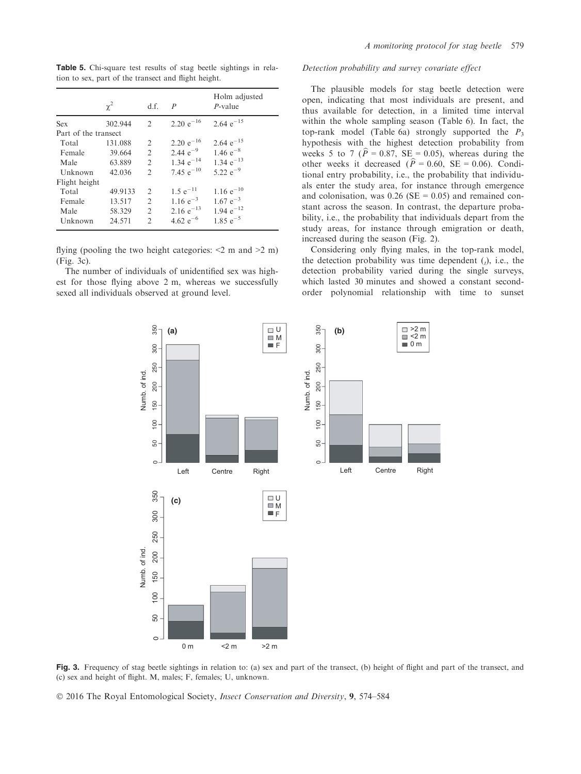Table 5. Chi-square test results of stag beetle sightings in relation to sex, part of the transect and flight height.

|                      | $\chi^2$ | d.f.                   | $\boldsymbol{P}$ | Holm adjusted<br>$P$ -value |
|----------------------|----------|------------------------|------------------|-----------------------------|
| <b>Sex</b>           | 302.944  | $\mathfrak{D}$         | 2.20 $e^{-16}$   | 2.64 $e^{-15}$              |
| Part of the transect |          |                        |                  |                             |
| Total                | 131.088  | $\mathfrak{D}$         | 2.20 $e^{-16}$   | 2.64 $e^{-15}$              |
| Female               | 39.664   | 2                      | 2.44 $e^{-9}$    | 1.46 $e^{-8}$               |
| Male                 | 63.889   | $\overline{2}$         | $1.34 e^{-14}$   | 1.34 $e^{-13}$              |
| Unknown              | 42.036   | $\mathfrak{D}$         | 7.45 $e^{-10}$   | 5.22 $e^{-9}$               |
| Flight height        |          |                        |                  |                             |
| Total                | 49.9133  | 2                      | $1.5 e^{-11}$    | $1.16 e^{-10}$              |
| Female               | 13.517   | $\overline{2}$         | 1.16 $e^{-3}$    | $1.67 e^{-3}$               |
| Male                 | 58.329   | $\mathcal{D}_{\alpha}$ | 2.16 $e^{-13}$   | $1.94 e^{-12}$              |
| Unknown              | 24.571   | $\mathfrak{D}$         | 4.62 $e^{-6}$    | $1.85 e^{-5}$               |

flying (pooling the two height categories:  $\leq 2$  m and  $\geq 2$  m) (Fig. 3c).

The number of individuals of unidentified sex was highest for those flying above 2 m, whereas we successfully sexed all individuals observed at ground level.

## Detection probability and survey covariate effect

The plausible models for stag beetle detection were open, indicating that most individuals are present, and thus available for detection, in a limited time interval within the whole sampling season (Table 6). In fact, the top-rank model (Table 6a) strongly supported the  $P_3$ hypothesis with the highest detection probability from within the whole sampling season (Table 6). In fact, the<br>top-rank model (Table 6a) strongly supported the  $P_3$ <br>hypothesis with the highest detection probability from<br>weeks 5 to 7 ( $\hat{P} = 0.87$ , SE = 0.05), whereas durin top-rank model (Table 6a) strongly supported the  $P_3$ <br>hypothesis with the highest detection probability from<br>weeks 5 to 7 ( $\hat{P} = 0.87$ , SE = 0.05), whereas during the<br>other weeks it decreased ( $\hat{P} = 0.60$ , SE = 0.06) tional entry probability, i.e., the probability that individuals enter the study area, for instance through emergence and colonisation, was  $0.26$  (SE = 0.05) and remained constant across the season. In contrast, the departure probability, i.e., the probability that individuals depart from the study areas, for instance through emigration or death, increased during the season (Fig. 2).

Considering only flying males, in the top-rank model, the detection probability was time dependent  $(t)$ , i.e., the detection probability varied during the single surveys, which lasted 30 minutes and showed a constant secondorder polynomial relationship with time to sunset



Fig. 3. Frequency of stag beetle sightings in relation to: (a) sex and part of the transect, (b) height of flight and part of the transect, and (c) sex and height of flight. M, males; F, females; U, unknown.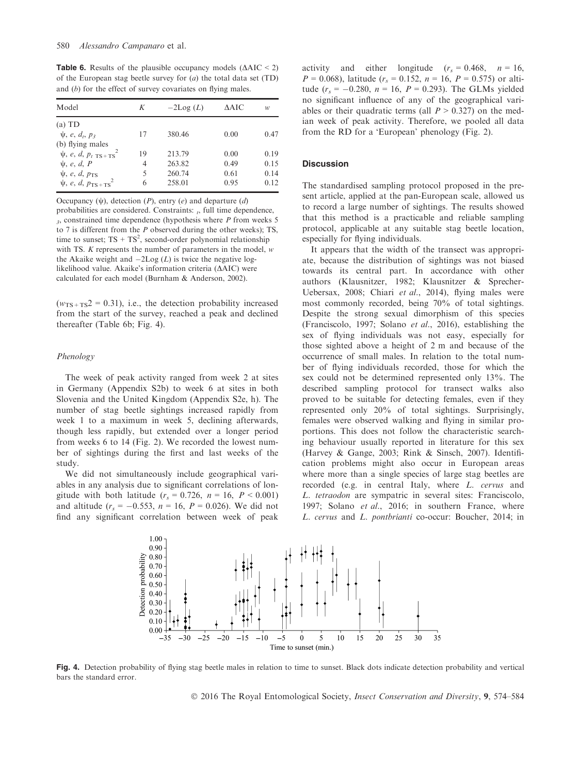**Table 6.** Results of the plausible occupancy models  $(\triangle AIC \leq 2)$ of the European stag beetle survey for  $(a)$  the total data set  $(TD)$ and (b) for the effect of survey covariates on flying males.

| Model                                                              | K  | $-2Log(L)$ | AAIC | w    |
|--------------------------------------------------------------------|----|------------|------|------|
| $(a)$ TD                                                           |    |            |      |      |
| $\psi$ , e, d <sub>1</sub> , p <sub>3</sub>                        | 17 | 380.46     | 0.00 | 0.47 |
| (b) flying males                                                   |    |            |      |      |
| $\psi$ , <i>e</i> , <i>d</i> , $p_t$ <sub>TS+TS</sub> <sup>2</sup> | 19 | 213.79     | 0.00 | 0.19 |
| $\psi$ , e, d, P                                                   | 4  | 263.82     | 0.49 | 0.15 |
| $\psi$ , e, d, $p_{TS}$                                            | 5  | 260.74     | 0.61 | 0.14 |
| $\psi$ , <i>e</i> , <i>d</i> , $p_{TS+TS}^2$                       | 6  | 258.01     | 0.95 | 0.12 |

Occupancy  $(\psi)$ , detection  $(P)$ , entry  $(e)$  and departure  $(d)$ probabilities are considered. Constraints:  $\mu$ , full time dependence,  $3$ , constrained time dependence (hypothesis where  $P$  from weeks 5 to 7 is different from the  $P$  observed during the other weeks); TS, time to sunset;  $TS + TS^2$ , second-order polynomial relationship with TS. K represents the number of parameters in the model, w the Akaike weight and  $-2\text{Log}(L)$  is twice the negative loglikelihood value. Akaike's information criteria  $(AAIC)$  were calculated for each model (Burnham & Anderson, 2002).

 $(w_{TS+TS}^2 = 0.31)$ , i.e., the detection probability increased from the start of the survey, reached a peak and declined thereafter (Table 6b; Fig. 4).

## Phenology

The week of peak activity ranged from week 2 at sites in Germany (Appendix S2b) to week 6 at sites in both Slovenia and the United Kingdom (Appendix S2e, h). The number of stag beetle sightings increased rapidly from week 1 to a maximum in week 5, declining afterwards, though less rapidly, but extended over a longer period from weeks 6 to 14 (Fig. 2). We recorded the lowest number of sightings during the first and last weeks of the study.

We did not simultaneously include geographical variables in any analysis due to significant correlations of longitude with both latitude  $(r_s = 0.726, n = 16, P < 0.001)$ and altitude  $(r_s = -0.553, n = 16, P = 0.026)$ . We did not find any significant correlation between week of peak activity and either longitude  $(r_s = 0.468, n = 16,$  $P = 0.068$ , latitude ( $r_s = 0.152$ ,  $n = 16$ ,  $P = 0.575$ ) or altitude  $(r_s = -0.280, n = 16, P = 0.293)$ . The GLMs yielded no significant influence of any of the geographical variables or their quadratic terms (all  $P > 0.327$ ) on the median week of peak activity. Therefore, we pooled all data from the RD for a 'European' phenology (Fig. 2).

## **Discussion**

The standardised sampling protocol proposed in the present article, applied at the pan-European scale, allowed us to record a large number of sightings. The results showed that this method is a practicable and reliable sampling protocol, applicable at any suitable stag beetle location, especially for flying individuals.

It appears that the width of the transect was appropriate, because the distribution of sightings was not biased towards its central part. In accordance with other authors (Klausnitzer, 1982; Klausnitzer & Sprecher-Uebersax, 2008; Chiari et al., 2014), flying males were most commonly recorded, being 70% of total sightings. Despite the strong sexual dimorphism of this species (Franciscolo, 1997; Solano et al., 2016), establishing the sex of flying individuals was not easy, especially for those sighted above a height of 2 m and because of the occurrence of small males. In relation to the total number of flying individuals recorded, those for which the sex could not be determined represented only 13%. The described sampling protocol for transect walks also proved to be suitable for detecting females, even if they represented only 20% of total sightings. Surprisingly, females were observed walking and flying in similar proportions. This does not follow the characteristic searching behaviour usually reported in literature for this sex (Harvey & Gange, 2003; Rink & Sinsch, 2007). Identification problems might also occur in European areas where more than a single species of large stag beetles are recorded (e.g. in central Italy, where L. cervus and L. tetraodon are sympatric in several sites: Franciscolo, 1997; Solano et al., 2016; in southern France, where L. cervus and L. pontbrianti co-occur: Boucher, 2014; in



Fig. 4. Detection probability of flying stag beetle males in relation to time to sunset. Black dots indicate detection probability and vertical bars the standard error.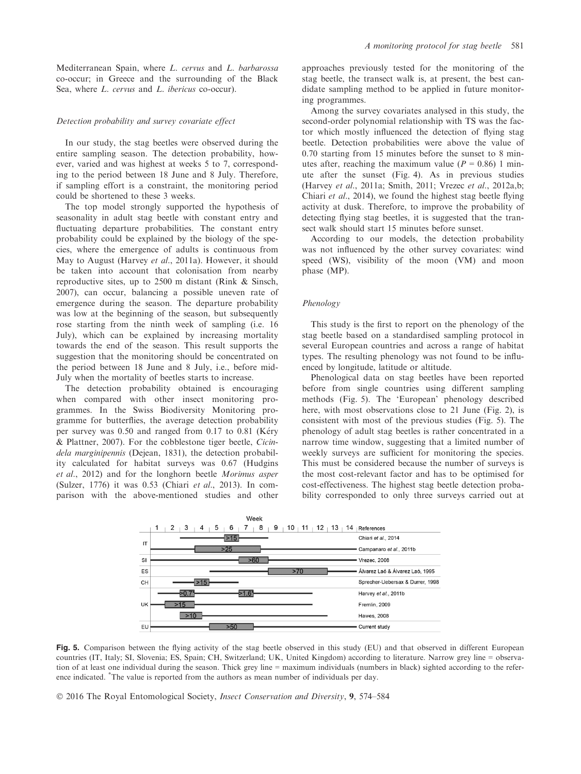#### Detection probability and survey covariate effect

In our study, the stag beetles were observed during the entire sampling season. The detection probability, however, varied and was highest at weeks 5 to 7, corresponding to the period between 18 June and 8 July. Therefore, if sampling effort is a constraint, the monitoring period could be shortened to these 3 weeks.

The top model strongly supported the hypothesis of seasonality in adult stag beetle with constant entry and fluctuating departure probabilities. The constant entry probability could be explained by the biology of the species, where the emergence of adults is continuous from May to August (Harvey et al., 2011a). However, it should be taken into account that colonisation from nearby reproductive sites, up to 2500 m distant (Rink & Sinsch, 2007), can occur, balancing a possible uneven rate of emergence during the season. The departure probability was low at the beginning of the season, but subsequently rose starting from the ninth week of sampling (i.e. 16 July), which can be explained by increasing mortality towards the end of the season. This result supports the suggestion that the monitoring should be concentrated on the period between 18 June and 8 July, i.e., before mid-July when the mortality of beetles starts to increase.

The detection probability obtained is encouraging when compared with other insect monitoring programmes. In the Swiss Biodiversity Monitoring programme for butterflies, the average detection probability per survey was 0.50 and ranged from 0.17 to 0.81 (Kéry & Plattner, 2007). For the cobblestone tiger beetle, Cicindela marginipennis (Dejean, 1831), the detection probability calculated for habitat surveys was 0.67 (Hudgins et al., 2012) and for the longhorn beetle Morimus asper (Sulzer, 1776) it was 0.53 (Chiari et al., 2013). In comparison with the above-mentioned studies and other approaches previously tested for the monitoring of the stag beetle, the transect walk is, at present, the best candidate sampling method to be applied in future monitoring programmes.

Among the survey covariates analysed in this study, the second-order polynomial relationship with TS was the factor which mostly influenced the detection of flying stag beetle. Detection probabilities were above the value of 0.70 starting from 15 minutes before the sunset to 8 minutes after, reaching the maximum value ( $P = 0.86$ ) 1 minute after the sunset (Fig. 4). As in previous studies (Harvey et al., 2011a; Smith, 2011; Vrezec et al., 2012a,b; Chiari et al., 2014), we found the highest stag beetle flying activity at dusk. Therefore, to improve the probability of detecting flying stag beetles, it is suggested that the transect walk should start 15 minutes before sunset.

According to our models, the detection probability was not influenced by the other survey covariates: wind speed (WS), visibility of the moon (VM) and moon phase (MP).

#### Phenology

This study is the first to report on the phenology of the stag beetle based on a standardised sampling protocol in several European countries and across a range of habitat types. The resulting phenology was not found to be influenced by longitude, latitude or altitude.

Phenological data on stag beetles have been reported before from single countries using different sampling methods (Fig. 5). The 'European' phenology described here, with most observations close to 21 June (Fig. 2), is consistent with most of the previous studies (Fig. 5). The phenology of adult stag beetles is rather concentrated in a narrow time window, suggesting that a limited number of weekly surveys are sufficient for monitoring the species. This must be considered because the number of surveys is the most cost-relevant factor and has to be optimised for cost-effectiveness. The highest stag beetle detection probability corresponded to only three surveys carried out at



Fig. 5. Comparison between the flying activity of the stag beetle observed in this study (EU) and that observed in different European countries (IT, Italy; SI, Slovenia; ES, Spain; CH, Switzerland; UK, United Kingdom) according to literature. Narrow grey line = observation of at least one individual during the season. Thick grey line = maximum individuals (numbers in black) sighted according to the reference indicated. \* The value is reported from the authors as mean number of individuals per day.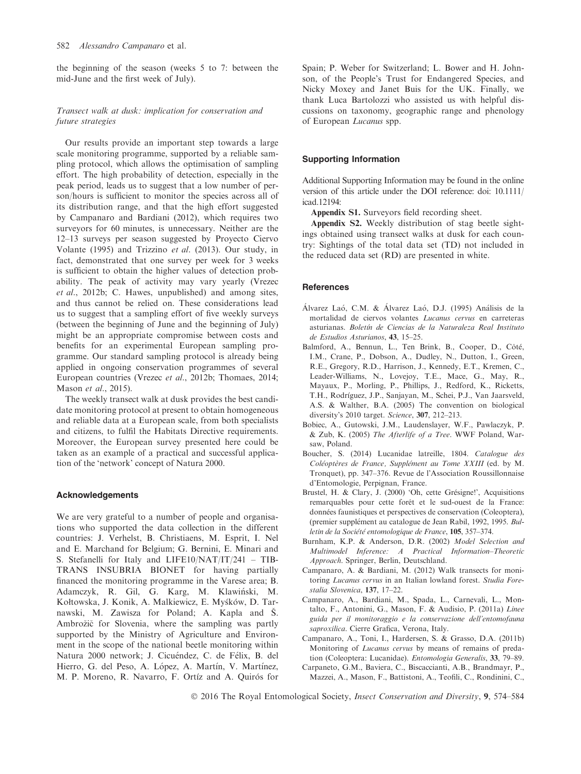the beginning of the season (weeks 5 to 7: between the mid-June and the first week of July).

## Transect walk at dusk: implication for conservation and future strategies

Our results provide an important step towards a large scale monitoring programme, supported by a reliable sampling protocol, which allows the optimisation of sampling effort. The high probability of detection, especially in the peak period, leads us to suggest that a low number of person/hours is sufficient to monitor the species across all of its distribution range, and that the high effort suggested by Campanaro and Bardiani (2012), which requires two surveyors for 60 minutes, is unnecessary. Neither are the 12–13 surveys per season suggested by Proyecto Ciervo Volante (1995) and Trizzino et al. (2013). Our study, in fact, demonstrated that one survey per week for 3 weeks is sufficient to obtain the higher values of detection probability. The peak of activity may vary yearly (Vrezec et al., 2012b; C. Hawes, unpublished) and among sites, and thus cannot be relied on. These considerations lead us to suggest that a sampling effort of five weekly surveys (between the beginning of June and the beginning of July) might be an appropriate compromise between costs and benefits for an experimental European sampling programme. Our standard sampling protocol is already being applied in ongoing conservation programmes of several European countries (Vrezec et al., 2012b; Thomaes, 2014; Mason et al., 2015).

The weekly transect walk at dusk provides the best candidate monitoring protocol at present to obtain homogeneous and reliable data at a European scale, from both specialists and citizens, to fulfil the Habitats Directive requirements. Moreover, the European survey presented here could be taken as an example of a practical and successful application of the 'network' concept of Natura 2000.

## Acknowledgements

We are very grateful to a number of people and organisations who supported the data collection in the different countries: J. Verhelst, B. Christiaens, M. Esprit, I. Nel and E. Marchand for Belgium; G. Bernini, E. Minari and S. Stefanelli for Italy and LIFE10/NAT/IT/241 – TIB-TRANS INSUBRIA BIONET for having partially financed the monitoring programme in the Varese area; B. Adamczyk, R. Gil, G. Karg, M. Klawiński, M. Kołtowska, J. Konik, A. Malkiewicz, E. Myśków, D. Tarnawski, M. Zawisza for Poland; A. Kapla and S. Ambrozic for Slovenia, where the sampling was partly supported by the Ministry of Agriculture and Environment in the scope of the national beetle monitoring within Natura 2000 network; J. Cicuéndez, C. de Félix, B. del Hierro, G. del Peso, A. López, A. Martín, V. Martínez, M. P. Moreno, R. Navarro, F. Ortíz and A. Quirós for

Spain; P. Weber for Switzerland; L. Bower and H. Johnson, of the People's Trust for Endangered Species, and Nicky Moxey and Janet Buis for the UK. Finally, we thank Luca Bartolozzi who assisted us with helpful discussions on taxonomy, geographic range and phenology of European Lucanus spp.

### Supporting Information

Additional Supporting Information may be found in the online version of this article under the DOI reference: doi: 10.1111/ icad.12194:

Appendix S1. Surveyors field recording sheet.

Appendix S2. Weekly distribution of stag beetle sightings obtained using transect walks at dusk for each country: Sightings of the total data set (TD) not included in the reduced data set (RD) are presented in white.

#### **References**

- Álvarez Laó, C.M. & Álvarez Laó, D.J. (1995) Análisis de la mortalidad de ciervos volantes Lucanus cervus en carreteras asturianas. Boletín de Ciencias de la Naturaleza Real Instituto de Estudios Asturianos, 43, 15–25.
- Balmford, A., Bennun, L., Ten Brink, B., Cooper, D., Côté, I.M., Crane, P., Dobson, A., Dudley, N., Dutton, I., Green, R.E., Gregory, R.D., Harrison, J., Kennedy, E.T., Kremen, C., Leader-Williams, N., Lovejoy, T.E., Mace, G., May, R., Mayaux, P., Morling, P., Phillips, J., Redford, K., Ricketts, T.H., Rodríguez, J.P., Sanjayan, M., Schei, P.J., Van Jaarsveld, A.S. & Walther, B.A. (2005) The convention on biological diversity's 2010 target. Science, 307, 212–213.
- Bobiec, A., Gutowski, J.M., Laudenslayer, W.F., Pawlaczyk, P. & Zub, K. (2005) The Afterlife of a Tree. WWF Poland, Warsaw, Poland.
- Boucher, S. (2014) Lucanidae latreille, 1804. Catalogue des Coléoptères de France, Supplément au Tome XXIII (ed. by M. Tronquet), pp. 347–376. Revue de l'Association Roussillonnaise d'Entomologie, Perpignan, France.
- Brustel, H. & Clary, J. (2000) 'Oh, cette Grésigne!', Acquisitions remarquables pour cette for^et et le sud-ouest de la France: données faunistiques et perspectives de conservation (Coleoptera), (premier supplément au catalogue de Jean Rabil, 1992, 1995. Bulletin de la Société entomologique de France, 105, 357-374.
- Burnham, K.P. & Anderson, D.R. (2002) Model Selection and Multimodel Inference: A Practical Information–Theoretic Approach. Springer, Berlin, Deutschland.
- Campanaro, A. & Bardiani, M. (2012) Walk transects for monitoring Lucanus cervus in an Italian lowland forest. Studia Forestalia Slovenica, 137, 17–22.
- Campanaro, A., Bardiani, M., Spada, L., Carnevali, L., Montalto, F., Antonini, G., Mason, F. & Audisio, P. (2011a) Linee guida per il monitoraggio e la conservazione dell'entomofauna saproxilica. Cierre Grafica, Verona, Italy.
- Campanaro, A., Toni, I., Hardersen, S. & Grasso, D.A. (2011b) Monitoring of Lucanus cervus by means of remains of predation (Coleoptera: Lucanidae). Entomologia Generalis, 33, 79–89.
- Carpaneto, G.M., Baviera, C., Biscaccianti, A.B., Brandmayr, P., Mazzei, A., Mason, F., Battistoni, A., Teofili, C., Rondinini, C.,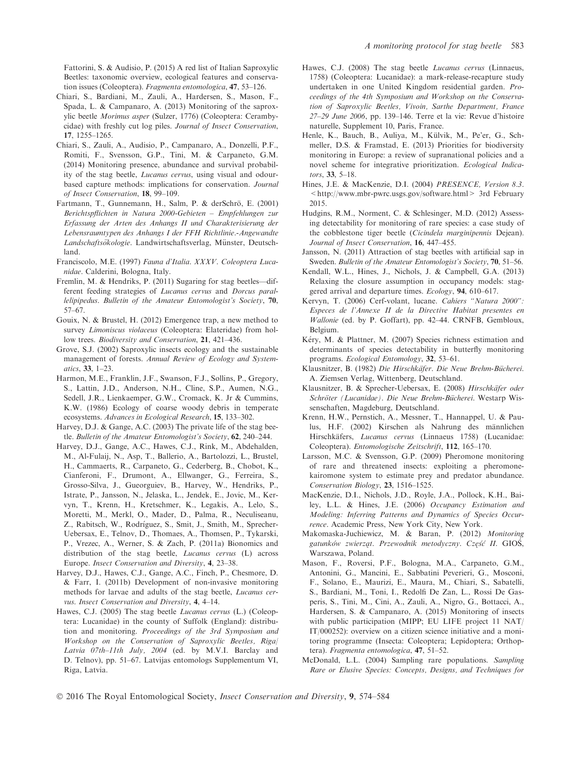Fattorini, S. & Audisio, P. (2015) A red list of Italian Saproxylic Beetles: taxonomic overview, ecological features and conservation issues (Coleoptera). Fragmenta entomologica, 47, 53–126.

- Chiari, S., Bardiani, M., Zauli, A., Hardersen, S., Mason, F., Spada, L. & Campanaro, A. (2013) Monitoring of the saproxylic beetle Morimus asper (Sulzer, 1776) (Coleoptera: Cerambycidae) with freshly cut log piles. Journal of Insect Conservation, 17, 1255–1265.
- Chiari, S., Zauli, A., Audisio, P., Campanaro, A., Donzelli, P.F., Romiti, F., Svensson, G.P., Tini, M. & Carpaneto, G.M. (2014) Monitoring presence, abundance and survival probability of the stag beetle, Lucanus cervus, using visual and odourbased capture methods: implications for conservation. Journal of Insect Conservation, 18, 99–109.
- Fartmann, T., Gunnemann, H., Salm, P. & derSchrö, E. (2001) Berichtspflichten in Natura 2000-Gebieten – Empfehlungen zur Erfassung der Arten des Anhangs II und Charakterisierung der Lebensraumtypen des Anhangs I der FFH Richtlinie.-Angewandte Landschaftsökologie. Landwirtschaftsverlag, Münster, Deutschland.
- Franciscolo, M.E. (1997) Fauna d'Italia. XXXV. Coleoptera Lucanidae. Calderini, Bologna, Italy.
- Fremlin, M. & Hendriks, P. (2011) Sugaring for stag beetles—different feeding strategies of Lucanus cervus and Dorcus parallelipipedus. Bulletin of the Amateur Entomologist's Society, 70, 57–67.
- Gouix, N. & Brustel, H. (2012) Emergence trap, a new method to survey Limoniscus violaceus (Coleoptera: Elateridae) from hollow trees. Biodiversity and Conservation, 21, 421–436.
- Grove, S.J. (2002) Saproxylic insects ecology and the sustainable management of forests. Annual Review of Ecology and Systematics, 33, 1–23.
- Harmon, M.E., Franklin, J.F., Swanson, F.J., Sollins, P., Gregory, S., Lattin, J.D., Anderson, N.H., Cline, S.P., Aumen, N.G., Sedell, J.R., Lienkaemper, G.W., Cromack, K. Jr & Cummins, K.W. (1986) Ecology of coarse woody debris in temperate ecosystems. Advances in Ecological Research, 15, 133–302.
- Harvey, D.J. & Gange, A.C. (2003) The private life of the stag beetle. Bulletin of the Amateur Entomologist's Society, 62, 240–244.
- Harvey, D.J., Gange, A.C., Hawes, C.J., Rink, M., Abdehalden, M., Al-Fulaij, N., Asp, T., Ballerio, A., Bartolozzi, L., Brustel, H., Cammaerts, R., Carpaneto, G., Cederberg, B., Chobot, K., Cianferoni, F., Drumont, A., Ellwanger, G., Ferreira, S., Grosso-Silva, J., Gueorguiev, B., Harvey, W., Hendriks, P., Istrate, P., Jansson, N., Jelaska, L., Jendek, E., Jovic, M., Kervyn, T., Krenn, H., Kretschmer, K., Legakis, A., Lelo, S., Moretti, M., Merkl, O., Mader, D., Palma, R., Neculiseanu, Z., Rabitsch, W., Rodríguez, S., Smit, J., Smith, M., Sprecher-Uebersax, E., Telnov, D., Thomaes, A., Thomsen, P., Tykarski, P., Vrezec, A., Werner, S. & Zach, P. (2011a) Bionomics and distribution of the stag beetle, Lucanus cervus (L) across Europe. Insect Conservation and Diversity, 4, 23–38.
- Harvey, D.J., Hawes, C.J., Gange, A.C., Finch, P., Chesmore, D. & Farr, I. (2011b) Development of non-invasive monitoring methods for larvae and adults of the stag beetle, Lucanus cervus. Insect Conservation and Diversity, 4, 4–14.
- Hawes, C.J. (2005) The stag beetle Lucanus cervus (L.) (Coleoptera: Lucanidae) in the county of Suffolk (England): distribution and monitoring. Proceedings of the 3rd Symposium and Workshop on the Conservation of Saproxylic Beetles, Riga/ Latvia 07th–11th July, 2004 (ed. by M.V.I. Barclay and D. Telnov), pp. 51–67. Latvijas entomologs Supplementum VI, Riga, Latvia.
- Hawes, C.J. (2008) The stag beetle Lucanus cervus (Linnaeus, 1758) (Coleoptera: Lucanidae): a mark-release-recapture study undertaken in one United Kingdom residential garden. Proceedings of the 4th Symposium and Workshop on the Conservation of Saproxylic Beetles, Vivoin, Sarthe Department, France 27–29 June 2006, pp. 139–146. Terre et la vie: Revue d'histoire naturelle, Supplement 10, Paris, France.
- Henle, K., Bauch, B., Auliya, M., Külvik, M., Pe'er, G., Schmeller, D.S. & Framstad, E. (2013) Priorities for biodiversity monitoring in Europe: a review of supranational policies and a novel scheme for integrative prioritization. Ecological Indicators, 33, 5–18.
- Hines, J.E. & MacKenzie, D.I. (2004) PRESENCE, Version 8.3. [<http://www.mbr-pwrc.usgs.gov/software.html](http://www.mbr-pwrc.usgs.gov/software.html)> 3rd February 2015.
- Hudgins, R.M., Norment, C. & Schlesinger, M.D. (2012) Assessing detectability for monitoring of rare species: a case study of the cobblestone tiger beetle (Cicindela marginipennis Dejean). Journal of Insect Conservation, 16, 447–455.
- Jansson, N. (2011) Attraction of stag beetles with artificial sap in Sweden. Bulletin of the Amateur Entomologist's Society, 70, 51–56.
- Kendall, W.L., Hines, J., Nichols, J. & Campbell, G.A. (2013) Relaxing the closure assumption in occupancy models: staggered arrival and departure times. Ecology, 94, 610–617.
- Kervyn, T. (2006) Cerf-volant, lucane. Cahiers "Natura 2000": Especes de l'Annexe II de la Directive Habitat presentes en Wallonie (ed. by P. Goffart), pp. 42–44. CRNFB, Gembloux, Belgium.
- Kéry, M. & Plattner, M. (2007) Species richness estimation and determinants of species detectability in butterfly monitoring programs. Ecological Entomology, 32, 53–61.
- Klausnitzer, B. (1982) Die Hirschkäfer. Die Neue Brehm-Bücherei. A. Ziemsen Verlag, Wittenberg, Deutschland.
- Klausnitzer, B. & Sprecher-Uebersax, E. (2008) Hirschkäfer oder Schröter (Lucanidae). Die Neue Brehm-Bücherei. Westarp Wissenschaften, Magdeburg, Deutschland.
- Krenn, H.W., Pernstich, A., Messner, T., Hannappel, U. & Paulus, H.F. (2002) Kirschen als Nahrung des männlichen Hirschkäfers, Lucanus cervus (Linnaeus 1758) (Lucanidae: Coleoptera). Entomologische Zeitschrift, 112, 165–170.
- Larsson, M.C. & Svensson, G.P. (2009) Pheromone monitoring of rare and threatened insects: exploiting a pheromonekairomone system to estimate prey and predator abundance. Conservation Biology, 23, 1516–1525.
- MacKenzie, D.I., Nichols, J.D., Royle, J.A., Pollock, K.H., Bailey, L.L. & Hines, J.E. (2006) Occupancy Estimation and Modeling: Inferring Patterns and Dynamics of Species Occurrence. Academic Press, New York City, New York.
- Makomaska-Juchiewicz, M. & Baran, P. (2012) Monitoring gatunków zwierząt. Przewodnik metodyczny. Część II. GIOŚ, Warszawa, Poland.
- Mason, F., Roversi, P.F., Bologna, M.A., Carpaneto, G.M., Antonini, G., Mancini, E., Sabbatini Peverieri, G., Mosconi, F., Solano, E., Maurizi, E., Maura, M., Chiari, S., Sabatelli, S., Bardiani, M., Toni, I., Redolfi De Zan, L., Rossi De Gasperis, S., Tini, M., Cini, A., Zauli, A., Nigro, G., Bottacci, A., Hardersen, S. & Campanaro, A. (2015) Monitoring of insects with public participation (MIPP; EU LIFE project 11 NAT/ IT/000252): overview on a citizen science initiative and a monitoring programme (Insecta: Coleoptera; Lepidoptera; Orthoptera). Fragmenta entomologica, 47, 51–52.
- McDonald, L.L. (2004) Sampling rare populations. Sampling Rare or Elusive Species: Concepts, Designs, and Techniques for